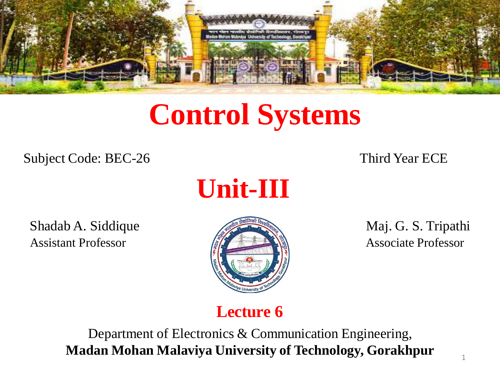

# **Control Systems**

Subject Code: BEC-26 Third Year ECE



Shadab A. Siddique Maj. G. S. Tripathi Assistant Professor **Associate Professor** Associate Professor



#### **Lecture 6**

Department of Electronics & Communication Engineering, **Madan Mohan Malaviya University of Technology, Gorakhpur**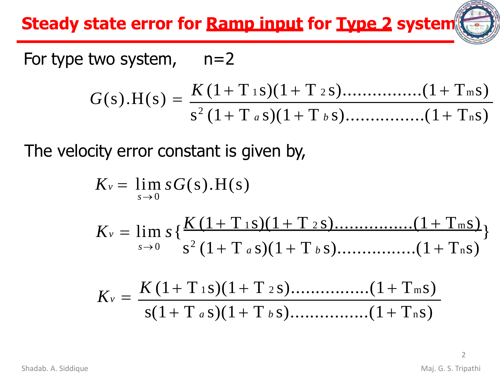**Steady state error for Ramp input for Type 2 system**

For type two system,  $n=2$ 

$$
G(s).H(s) = \frac{K (1+T \t{1} s)(1+T \t{2} s) \dots (1+T \t{1} s)}{s^2 (1+T a s)(1+T b s) \dots (1+T n s)}
$$

The velocity error constant is given by,

$$
K_v = \lim_{s \to 0} sG(s).H(s)
$$
  
\n
$$
K_v = \lim_{s \to 0} s \{ \frac{K(1+T_{1} s)(1+T_{2} s) \dots (1+T_{m} s)}{s^2 (1+T_{a} s)(1+T_{b} s) \dots (1+T_{n} s)} \}
$$
  
\n
$$
K_v = \frac{K(1+T_{1} s)(1+T_{2} s) \dots (1+T_{m} s)}{s(1+T_{a} s)(1+T_{b} s) \dots (1+T_{n} s)}
$$

 $\overline{\mathcal{L}}$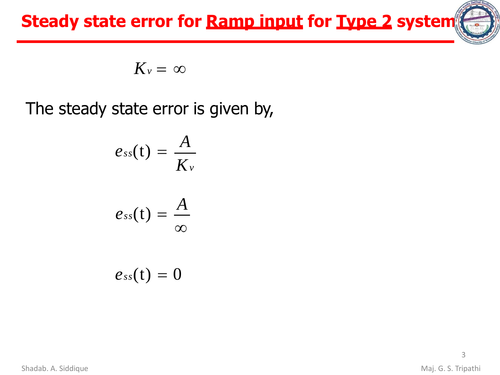**Steady state error for Ramp input for Type 2 system**

$$
K_v = \infty
$$

The steady state error is given by,

$$
e_{ss}(t)=\frac{A}{K_v}
$$

$$
e_{ss}(t)=\frac{A}{\infty}
$$

 $e_{ss}(t) = 0$ 

Shadab. A. Siddique **Maj. G. S. Tripathi**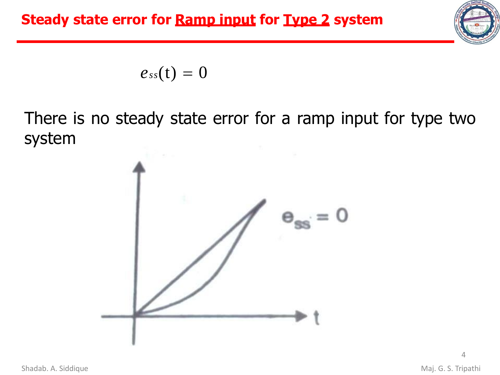

 $e_{ss}(t) = 0$ 

There is no steady state error for a ramp input for type two system

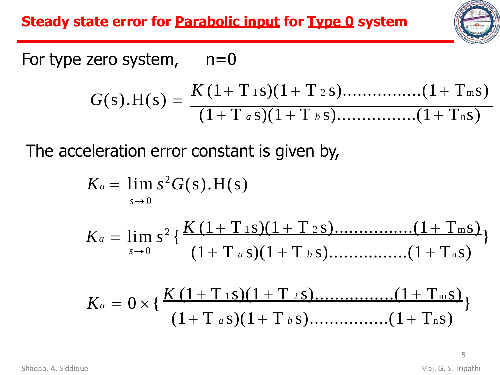**Steady state error for Parabolic input for Type 0 system**



For type zero system,  $n=0$  $G(s)$ .H(s) = *K* (1+ T <sup>1</sup> s)(1 + T <sup>2</sup> s)................(1+ Tms) (1+ T *<sup>a</sup>* s)(1 + T *<sup>b</sup>* s)................(1+ Tns)

The acceleration error constant is given by,

$$
K_a = \lim_{s\to 0} s^2 G(s).H(s)
$$

$$
K_a = \lim_{s \to 0} s^2 \left\{ \frac{K (1 + T_{1S})(1 + T_{2S}) \dots (1 + T_{mS})}{(1 + T_a s)(1 + T_b s) \dots (1 + T_n s)} \right\}
$$

$$
K_a = 0 \times \left\{ \frac{K (1 + T_{1S})(1 + T_{2S}) \dots (1 + T_{mS})}{(1 + T_a S)(1 + T_b S) \dots (1 + T_n S)} \right\}
$$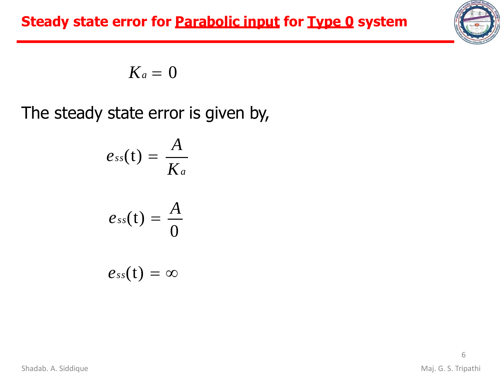

$$
K_a=0
$$

The steady state error is given by,

$$
e_{ss}(t) = \frac{A}{K_a}
$$

$$
e_{ss}(t) = \frac{A}{0}
$$

$$
e_{ss}(t)=\infty
$$

Shadab. A. Siddique **Maj. G. S. Tripathi**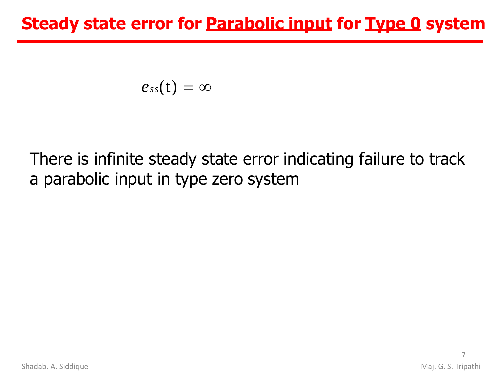$$
e_{ss}(t)=\infty
$$

# There is infinite steady state error indicating failure to track a parabolic input in type zero system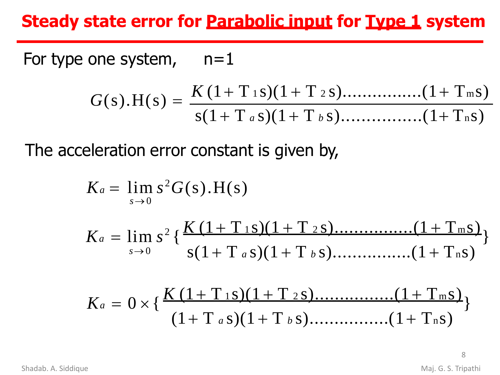## **Steady state error for Parabolic input for Type 1 system**

For type one system,  $n=1$ 

$$
G(s).H(s) = \frac{K(1+T_{1} s)(1+T_{2} s) \dots (1+T_{m} s)}{s(1+T_{a} s)(1+T_{b} s) \dots (1+T_{n} s)}
$$

The acceleration error constant is given by,

$$
K_a = \lim_{s \to 0} s^2 G(s).H(s)
$$
  
\n
$$
K_a = \lim_{s \to 0} s^2 \left\{ \frac{K (1 + T_{1S})(1 + T_{2S}) \dots (1 + T_{mS})}{s(1 + T_a s)(1 + T_b s) \dots (1 + T_{nS})} \right\}
$$
  
\n
$$
K_a = 0 \times \left\{ \frac{K (1 + T_{1S})(1 + T_{2S}) \dots (1 + T_{mS})}{(1 + T_a s)(1 + T_b s) \dots (1 + T_{nS})} \right\}
$$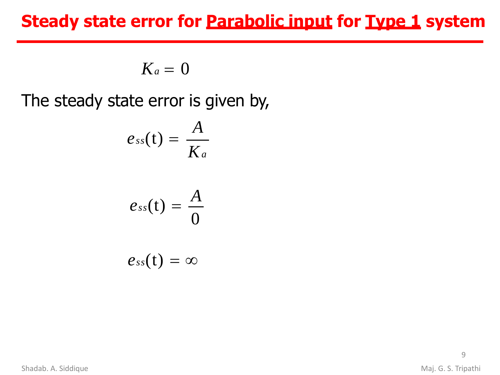### **Steady state error for Parabolic input for Type 1 system**

 $K_a = 0$ 

The steady state error is given by,

$$
e_{ss}(t)=\frac{A}{K_a}
$$

$$
e_{ss}(t)=\frac{A}{0}
$$

$$
e_{ss}(t)=\infty
$$

Shadab. A. Siddique **Maj. G. S. Tripathi**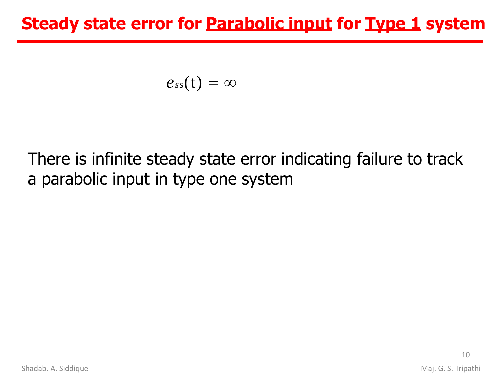## **Steady state error for Parabolic input for Type 1 system**

$$
e_{ss}(t)=\infty
$$

# There is infinite steady state error indicating failure to track a parabolic input in type one system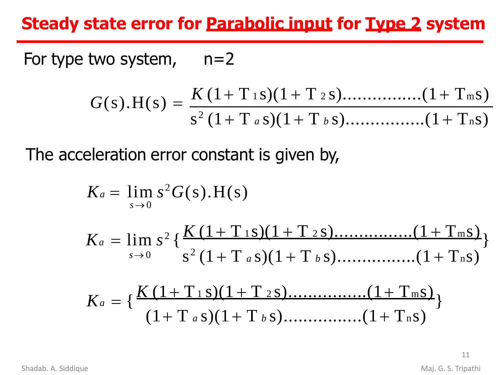## **Steady state error for Parabolic input for Type 2 system**

For type two system,  $n=2$ 

$$
G(s).H(s) = \frac{K (1+T \t{1} s)(1+T \t{2} s) \dots (1+T \t{1} s)}{s^2 (1+T a s)(1+T b s) \dots (1+T n s)}
$$

The acceleration error constant is given by,

$$
K_a = \lim_{s \to 0} s^2 G(s).H(s)
$$
  
\n
$$
K_a = \lim_{s \to 0} s^2 \left\{ \frac{K (1 + T_{1S})(1 + T_{2S}) \dots (1 + T_{mS})}{s^2 (1 + T_a s)(1 + T_b s) \dots (1 + T_{nS})} \right\}
$$
  
\n
$$
K_a = \left\{ \frac{K (1 + T_{1S})(1 + T_{2S}) \dots (1 + T_{mS})}{(1 + T_a s)(1 + T_b s) \dots (1 + T_{nS})} \right\}
$$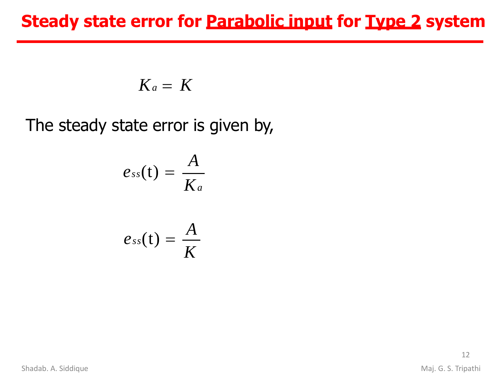### **Steady state error for Parabolic input for Type 2 system**

$$
K_a = K
$$

The steady state error is given by,

$$
e_{ss}(t) = \frac{A}{K_a}
$$

$$
e_{ss}(t) = \frac{A}{K}
$$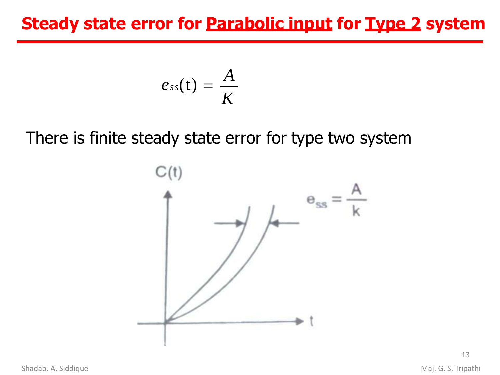## **Steady state error for Parabolic input for Type 2 system**

$$
e_{ss}(t)=\frac{A}{K}
$$

There is finite steady state error for type two system